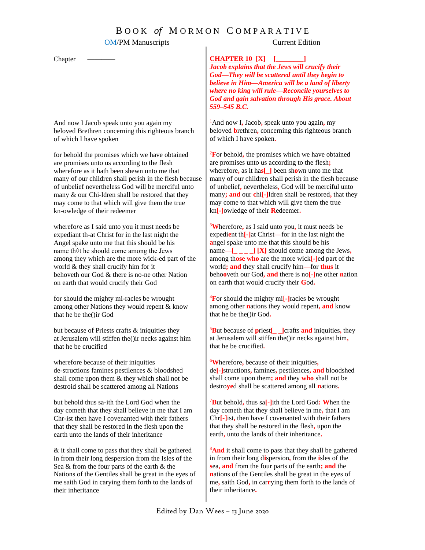## B O O K *of* M O R M O N C O M P A R A T I V E

#### OM/PM Manuscripts Current Edition

Chapter

And now I Jacob speak unto you again my beloved Brethren concerning this righteous branch of which I have spoken

for behold the promises which we have obtained are promises unto us according to the flesh wherefore as it hath been shewn unto me that many of our children shall perish in the flesh because of unbelief nevertheless God will be merciful unto many & our Chi-ldren shall be restored that they may come to that which will give them the true kn-owledge of their redeemer

wherefo*r*e as I said unto you it must needs be expediant th-at Christ for in the last night the Angel spake unto me that this should be his name th◊t he should come among the Jews among they which are the more wick-ed part of the world & they shall crucify him for it behoveth our God & there is no-ne other Nation on earth that would crucify their God

for should the mighty mi-racles be wrought among other Nations they would repent & know that he be the()ir God

but because of Priests crafts & iniquities they at Jerusalem will stiffen the()ir necks against him that he be crucified

wherefore because of their iniquities de-structions famines pestilences & bloodshed shall come upon them & they which shall not be destroid shall be scattered among all Nations

but behold thus sa-ith the Lord God when the day cometh that they shall believe in me that I am Chr-ist then have I covenanted with their fathers that they shall be restored in the flesh upon the earth unto the lands of their inheritance

& it shall come to pass that they shall be gathered in from their long despersion from the Isles of the Sea & from the four parts of the earth & the Nations of the Gentiles shall be great in the eyes of me saith God in carying them forth to the lands of their inheritance

**CHAPTER 10 [X]** C**[\_\_\_\_\_\_\_\_]**

*Jacob explains that the Jews will crucify their God—They will be scattered until they begin to believe in Him—America will be a land of liberty where no king will rule—Reconcile yourselves to God and gain salvation through His grace. About 559–545 B.C.*

<sup>1</sup>And now I**,** Jacob**,** speak unto you again**,** my beloved **b**rethren**,** concerning this righteous branch of which I have spoken**.**

<sup>2</sup>**F**or behold**,** the promises which we have obtained are promises unto us according to the flesh**;**  wherefore**,** as it ha**s[\_]** been sh**o**wn unto me that many of our children shall perish in the flesh because of unbelief**,** nevertheless**,** God will be merciful unto many**; and** our **c**hi**[-]**ldren shall be restored**,** that they may come to that which will give them the true kn**[-]**owledge of their **R**edeemer**.**

<sup>3</sup>**W**herefore**,** as I said unto you**,** it must needs be expedi**e**nt th**[-]**at Christ**—**for in the last night the **a**ngel spake unto me that this should be his name**—[\_ \_ \_ \_] [X]** should come among the Jews**,** among th**ose who** are the more wick**[-]**ed part of the world**; and** they shall crucify him**—**for **thus** it beho**o**veth our God**, and** there is no**[-]**ne other **n**ation on earth that would crucify their **G**od**.**

<sup>4</sup>**F**or should the mighty mi**[-]**racles be wrought among other **n**ations they would repent**, and** know that he be the()ir God**.** 

<sup>5</sup>**B**ut because of **p**riest**[\_ \_]**crafts **and** iniquities**,** they at Jerusalem will stiffen the()ir necks against him**,**  that he be crucified**.**

<sup>6</sup>**W**herefore**,** because of their iniquities**,** de**[-]**structions**,** famines**,** pestilences**, and** bloodshed shall come upon them**; and** they **who** shall not be destro**ye**d shall be scattered among all **n**ations**.**

<sup>7</sup>**B**ut behold**,** thus sa**[-]**ith the Lord God**: W**hen the day cometh that they shall believe in me**,** that I am Chr**[-]**ist**,** then have I covenanted with their fathers that they shall be restored in the flesh**,** upon the earth**,** unto the lands of their inheritance**.**

<sup>8</sup>And it shall come to pass that they shall be gathered in from their long d**i**spersion**,** from the **i**sles of the **s**ea**, and** from the four parts of the earth**; and** the **n**ations of the Gentiles shall be great in the eyes of me**,** saith God**,** in car**r**ying them forth to the lands of their inheritance**.**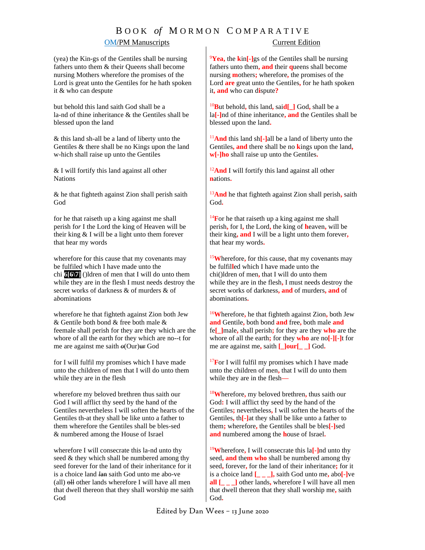# B O O K *of* M O R M O N C O M P A R A T I V E

### OM/PM Manuscripts Current Edition

(yea) the Kin-gs of the Gentiles shall be nursing fathers unto them & their Quee*n*s shall become nursing Mothers wherefore the promises of the Lord is great unto the Gentiles for he hath spoken it & who can despute

but behold this land saith God shall be a la-nd of thine inheritance & the Gentiles shall be blessed upon the land

& this land sh-all be a land of liberty unto the Gentiles & there shall be no King*s* upon the land w-hich shall raise up unto the Gentiles

& I will fortify this land against all other **Nations** 

& he that fighteth against Zion shall perish saith God

for he that raiseth up a king against me shall perish fo*r* I the Lord the king of Heaven will be their king & I will be a light unto them forever that hear my words

wherefore for this cause that my covenants may be fulfiled which I have made unto the chi **6[6\7]** ()ldren of men that I will do unto them while they are in the flesh I must needs destroy the secret works of darkness & of murders & of a*b*ominations

wherefore he that fighteth against Zion both Jew & Gentile both bond & free both male & feemale shall perish for they are they which are the whore of all the earth for they which are no--t for me are against me saith *o*(Our)ur God

for I will fulfil my promises which I have made unto the children of men that I will do unto them while they are in the flesh

wherefore my beloved brethren thus saith our God I will afflict thy seed by the hand of the Gentiles nevertheless I will soften the hearts of the Gentiles th-at they shall be like unto a father to them wherefore the Gentiles shall be bles-sed & numbered among the House of Israel

wherefore I will consecrate this la-nd unto thy seed & they which shall be numbered among thy seed forever for the land of their inheritance for it is a choice land *l*an saith God unto me abo-ve (all)  $\Theta$ <sup>1</sup> other lands wherefore I will have all men that dwell thereon that they shall worship me saith God

<sup>9</sup>**Yea,** the **k**in**[-]**gs of the Gentiles shall be nursing fathers unto them**, and** their **q**ueens shall become nursing **m**others**;** wherefore**,** the promises of the Lord **are** great unto the Gentiles**,** for he hath spoken it**, and** who can d**i**spute**?**

<sup>10</sup>**B**ut behold**,** this land**,** sai**d[\_]** God**,** shall be a la**[-]**nd of thine inheritance**, and** the Gentiles shall be blessed upon the land**.**

<sup>11</sup>**And** this land sh**[-]**all be a land of liberty unto the Gentiles**, and** there shall be no **k**ings upon the land**, w[-]ho** shall raise up unto the Gentiles**.**

<sup>12</sup>And I will fortify this land against all other **n**ations**.**

<sup>13</sup>**And** he that fighteth against Zion shall perish**,** saith God**.**

<sup>14</sup>For he that raiseth up a king against me shall perish**,** for I**,** the Lord**,** the king of **h**eaven**,** will be their king**, and** I will be a light unto them forever**,** that hear my words**.**

<sup>15</sup>**W**herefore**,** for this cause**,** that my covenants may be fulfil**l**ed which I have made unto the chi()ldren of men**,** that I will do unto them while they are in the flesh**,** I must needs destroy the secret works of darkness**, and** of murders**, and** of abominations**.**

<sup>16</sup>**W**herefore**,** he that fighteth against Zion**,** both Jew **and** Gentile**,** both bond **and** free**,** both male **and** fe**[\_]**male**,** shall perish**;** for they are they **who** are the whore of all the earth**;** for they **who** are no**[-][-]**t for me are against me**,** saith **[\_]our[\_ \_]** God**.**

<sup>17</sup>For I will fulfil my promises which I have made unto the children of men**,** that I will do unto them while they are in the flesh**—**

<sup>18</sup>**W**herefore**,** my beloved brethren**,** thus saith our God**:** I will afflict thy seed by the hand of the Gentiles**;** nevertheless**,** I will soften the hearts of the Gentiles**,** th**[-]**at they shall be like unto a father to them**;** wherefore**,** the Gentiles shall be bles**[-]**sed **and** numbered among the **h**ouse of Israel**.**

<sup>19</sup>**W**herefore**,** I will consecrate this la**[-]**nd unto thy seed**, and** the**m who** shall be numbered among thy seed**,** forever**,** for the land of their inheritance**;** for it is a choice land **[\_ \_ \_],** saith God unto me**,** abo**[-]**ve **all [**  $\blacksquare$  **]** other lands, wherefore I will have all men that dwell thereon that they shall worship me**,** saith God**.**

Edited by Dan Wees – 13 June 2020